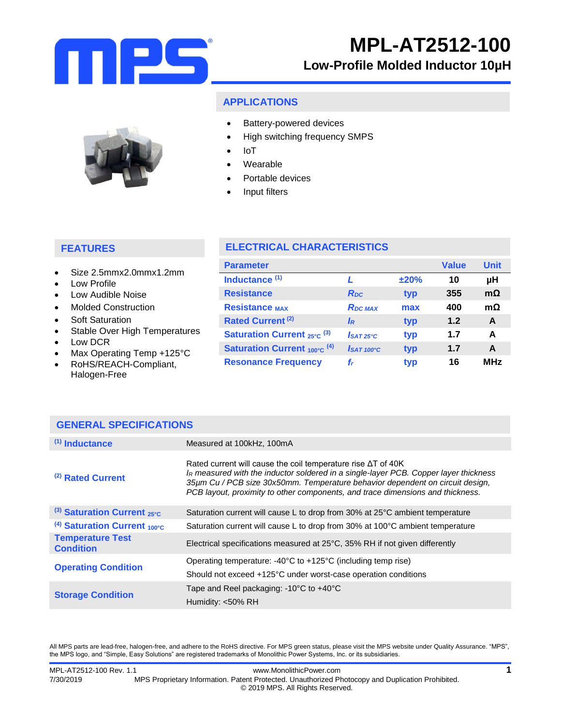

### **APPLICATIONS**

- Battery-powered devices
	- High switching frequency SMPS
	- IoT
	- Wearable
	- Portable devices
	- Input filters

## **FEATURES**

- Size 2.5mmx2.0mmx1.2mm
- Low Profile
- Low Audible Noise
- Molded Construction
- Soft Saturation
- Stable Over High Temperatures
- Low DCR
- Max Operating Temp +125°C

**GENERAL SPECIFICATIONS**

 RoHS/REACH-Compliant, Halogen-Free

## **ELECTRICAL CHARACTERISTICS**

| <b>Parameter</b>                             |                        |      | <b>Value</b> | <b>Unit</b> |
|----------------------------------------------|------------------------|------|--------------|-------------|
| Inductance <sup>(1)</sup>                    |                        | ±20% | 10           | μH          |
| <b>Resistance</b>                            | R <sub>pc</sub>        | typ  | 355          | $m\Omega$   |
| <b>Resistance MAX</b>                        | <b>RDC MAX</b>         | max  | 400          | $m\Omega$   |
| Rated Current <sup>(2)</sup>                 | IR                     | typ  | 1.2          | A           |
| <b>Saturation Current</b> $_{25\degree}$ (3) | $IsAT25^\circ C$       | typ  | 1.7          | A           |
| <b>Saturation Current 100°C (4)</b>          | I <sub>SAT 100°C</sub> | typ  | 1.7          | A           |
| <b>Resonance Frequency</b>                   | f,                     | typ  | 16           | <b>MHz</b>  |

| $(1)$ Inductance                            | Measured at 100kHz, 100mA                                                                                                                                                                                                                                                                                                       |
|---------------------------------------------|---------------------------------------------------------------------------------------------------------------------------------------------------------------------------------------------------------------------------------------------------------------------------------------------------------------------------------|
| (2) Rated Current                           | Rated current will cause the coil temperature rise $\Delta T$ of 40K<br>IR measured with the inductor soldered in a single-layer PCB. Copper layer thickness<br>35µm Cu / PCB size 30x50mm. Temperature behavior dependent on circuit design,<br>PCB layout, proximity to other components, and trace dimensions and thickness. |
| (3) Saturation Current $_{25^{\circ}C}$     | Saturation current will cause L to drop from 30% at 25°C ambient temperature                                                                                                                                                                                                                                                    |
| $(4)$ Saturation Current 100°C              | Saturation current will cause L to drop from 30% at 100°C ambient temperature                                                                                                                                                                                                                                                   |
| <b>Temperature Test</b><br><b>Condition</b> | Electrical specifications measured at 25°C, 35% RH if not given differently                                                                                                                                                                                                                                                     |
| <b>Operating Condition</b>                  | Operating temperature: $-40^{\circ}$ C to $+125^{\circ}$ C (including temp rise)                                                                                                                                                                                                                                                |
|                                             | Should not exceed +125°C under worst-case operation conditions                                                                                                                                                                                                                                                                  |
| <b>Storage Condition</b>                    | Tape and Reel packaging: -10°C to +40°C                                                                                                                                                                                                                                                                                         |
|                                             | Humidity: <50% RH                                                                                                                                                                                                                                                                                                               |

All MPS parts are lead-free, halogen-free, and adhere to the RoHS directive. For MPS green status, please visit the MPS website under Quality Assurance. "MPS", the MPS logo, and "Simple, Easy Solutions" are registered trademarks of Monolithic Power Systems, Inc. or its subsidiaries.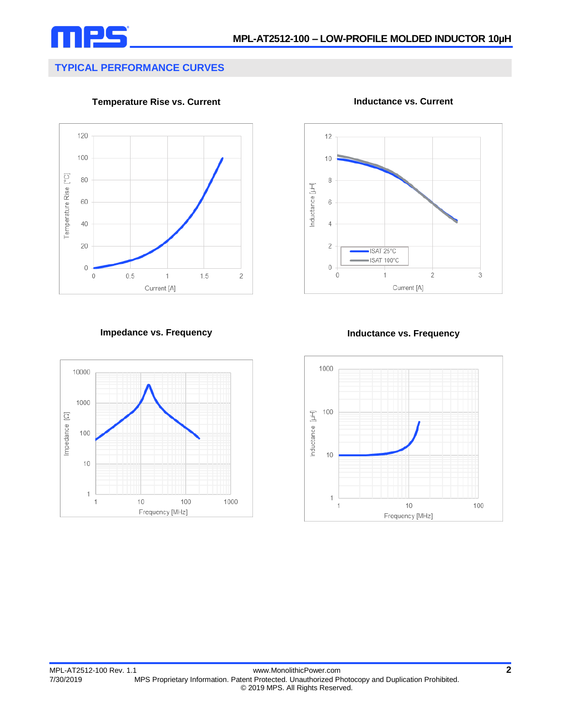

# **TYPICAL PERFORMANCE CURVES**

**Temperature Rise vs. Current**



**Inductance vs. Current**



**Impedance vs. Frequency Inductance vs. Frequency**



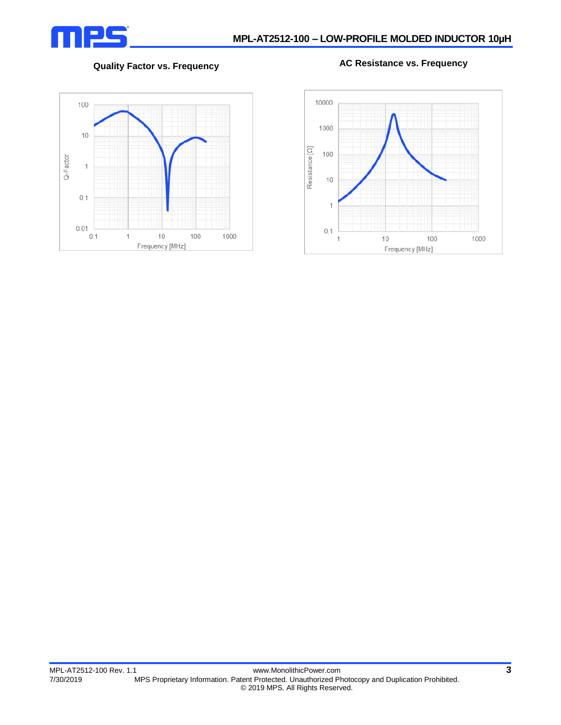

## **Quality Factor vs. Frequency AC Resistance vs. Frequency**



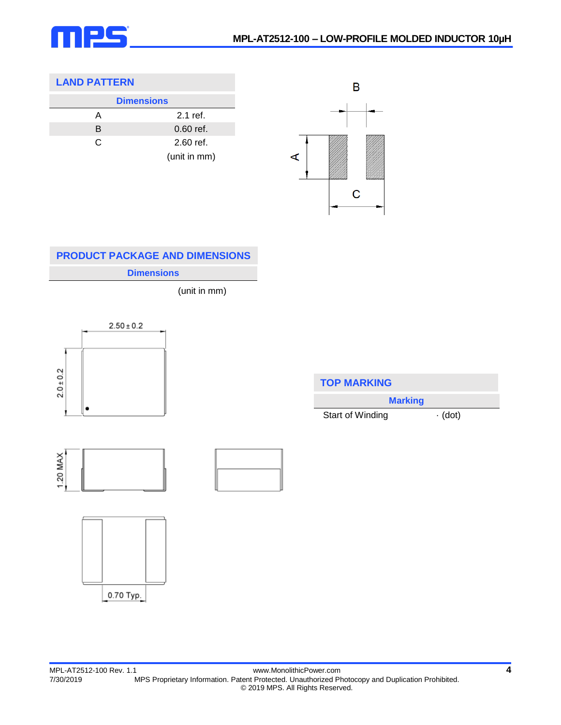

## **LAND PATTERN**

| <b>Dimensions</b> |              |  |
|-------------------|--------------|--|
| А                 | $2.1$ ref.   |  |
| B                 | $0.60$ ref.  |  |
| C                 | $2.60$ ref.  |  |
|                   | (unit in mm) |  |



## **Dimensions PRODUCT PACKAGE AND DIMENSIONS**

(unit in mm)



| <b>TOP MARKING</b> |               |  |
|--------------------|---------------|--|
| <b>Marking</b>     |               |  |
| Start of Winding   | $\cdot$ (dot) |  |